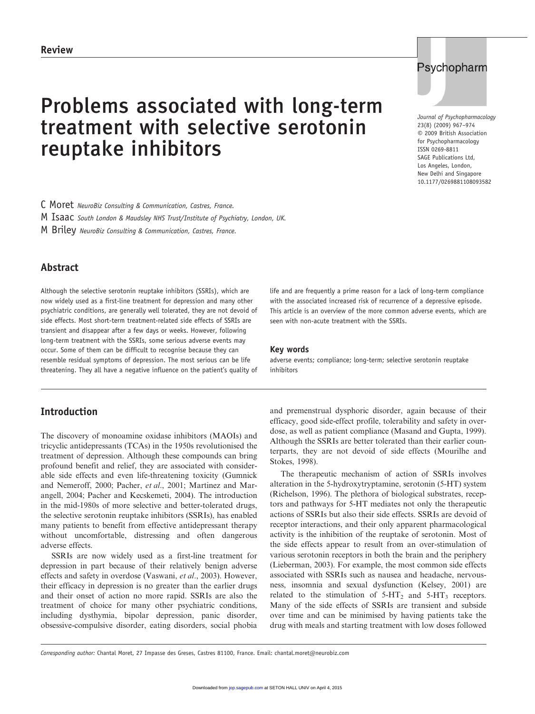# Problems associated with long-term treatment with selective serotonin reuptake inhibitors



Journal of Psychopharmacology © 2009 British Association for Psychopharmacology ISSN 0269-8811 SAGE Publications Ltd, Los Angeles, London, New Delhi and Singapore 10.1177/0269881108093582 23(8) (2009) 967–974

C Moret NeuroBiz Consulting & Communication, Castres, France.

M Isaac South London & Maudsley NHS Trust/Institute of Psychiatry, London, UK.

M Briley NeuroBiz Consulting & Communication, Castres, France.

# Abstract

Although the selective serotonin reuptake inhibitors (SSRIs), which are now widely used as a first-line treatment for depression and many other psychiatric conditions, are generally well tolerated, they are not devoid of side effects. Most short-term treatment-related side effects of SSRIs are transient and disappear after a few days or weeks. However, following long-term treatment with the SSRIs, some serious adverse events may occur. Some of them can be difficult to recognise because they can resemble residual symptoms of depression. The most serious can be life threatening. They all have a negative influence on the patient's quality of

# Introduction

The discovery of monoamine oxidase inhibitors (MAOIs) and tricyclic antidepressants (TCAs) in the 1950s revolutionised the treatment of depression. Although these compounds can bring profound benefit and relief, they are associated with considerable side effects and even life-threatening toxicity (Gumnick and Nemeroff, 2000; Pacher, et al., 2001; Martinez and Marangell, 2004; Pacher and Kecskemeti, 2004). The introduction in the mid-1980s of more selective and better-tolerated drugs, the selective serotonin reuptake inhibitors (SSRIs), has enabled many patients to benefit from effective antidepressant therapy without uncomfortable, distressing and often dangerous adverse effects.

SSRIs are now widely used as a first-line treatment for depression in part because of their relatively benign adverse effects and safety in overdose (Vaswani, et al., 2003). However, their efficacy in depression is no greater than the earlier drugs and their onset of action no more rapid. SSRIs are also the treatment of choice for many other psychiatric conditions, including dysthymia, bipolar depression, panic disorder, obsessive-compulsive disorder, eating disorders, social phobia

life and are frequently a prime reason for a lack of long-term compliance with the associated increased risk of recurrence of a depressive episode. This article is an overview of the more common adverse events, which are seen with non-acute treatment with the SSRIs.

#### Key words

adverse events; compliance; long-term; selective serotonin reuptake inhibitors

and premenstrual dysphoric disorder, again because of their efficacy, good side-effect profile, tolerability and safety in overdose, as well as patient compliance (Masand and Gupta, 1999). Although the SSRIs are better tolerated than their earlier counterparts, they are not devoid of side effects (Mourilhe and Stokes, 1998).

The therapeutic mechanism of action of SSRIs involves alteration in the 5-hydroxytryptamine, serotonin (5-HT) system (Richelson, 1996). The plethora of biological substrates, receptors and pathways for 5-HT mediates not only the therapeutic actions of SSRIs but also their side effects. SSRIs are devoid of receptor interactions, and their only apparent pharmacological activity is the inhibition of the reuptake of serotonin. Most of the side effects appear to result from an over-stimulation of various serotonin receptors in both the brain and the periphery (Lieberman, 2003). For example, the most common side effects associated with SSRIs such as nausea and headache, nervousness, insomnia and sexual dysfunction (Kelsey, 2001) are related to the stimulation of  $5-HT_2$  and  $5-HT_3$  receptors. Many of the side effects of SSRIs are transient and subside over time and can be minimised by having patients take the drug with meals and starting treatment with low doses followed

Corresponding author: Chantal Moret, 27 Impasse des Greses, Castres 81100, France. Email: chantal.moret@neurobiz.com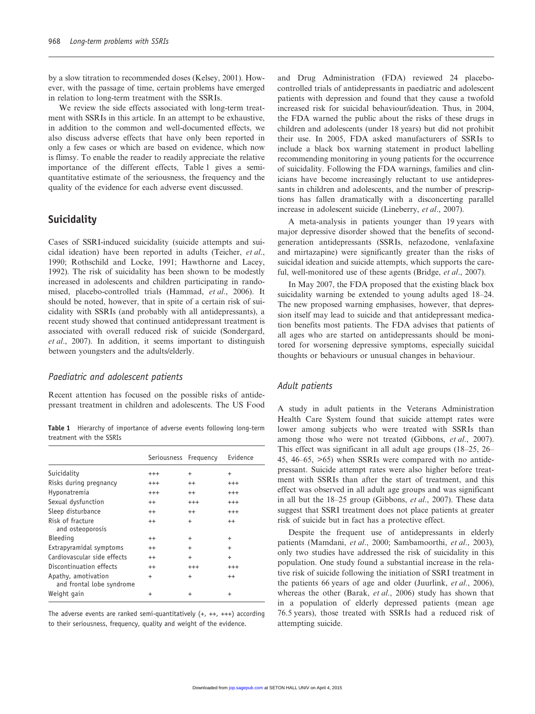by a slow titration to recommended doses (Kelsey, 2001). However, with the passage of time, certain problems have emerged in relation to long-term treatment with the SSRIs.

We review the side effects associated with long-term treatment with SSRIs in this article. In an attempt to be exhaustive, in addition to the common and well-documented effects, we also discuss adverse effects that have only been reported in only a few cases or which are based on evidence, which now is flimsy. To enable the reader to readily appreciate the relative importance of the different effects, Table 1 gives a semiquantitative estimate of the seriousness, the frequency and the quality of the evidence for each adverse event discussed.

#### **Suicidality**

Cases of SSRI-induced suicidality (suicide attempts and suicidal ideation) have been reported in adults (Teicher, et al., 1990; Rothschild and Locke, 1991; Hawthorne and Lacey, 1992). The risk of suicidality has been shown to be modestly increased in adolescents and children participating in randomised, placebo-controlled trials (Hammad, et al., 2006). It should be noted, however, that in spite of a certain risk of suicidality with SSRIs (and probably with all antidepressants), a recent study showed that continued antidepressant treatment is associated with overall reduced risk of suicide (Sondergard, et al., 2007). In addition, it seems important to distinguish between youngsters and the adults/elderly.

#### Paediatric and adolescent patients

Recent attention has focused on the possible risks of antidepressant treatment in children and adolescents. The US Food

Table 1 Hierarchy of importance of adverse events following long-term treatment with the SSRIs

|                                                  | Seriousness Frequency |           | Evidence  |
|--------------------------------------------------|-----------------------|-----------|-----------|
| Suicidality                                      | $^{+++}$              | $\ddot{}$ | $\ddot{}$ |
| Risks during pregnancy                           | $^{+++}$              | $^{++}$   | $^{++}$   |
| Hyponatremia                                     | $^{+++}$              | $^{++}$   | $^{++}$   |
| Sexual dysfunction                               | $^{++}$               | $^{+++}$  | $^{++}$   |
| Sleep disturbance                                | $^{++}$               | $^{++}$   | $^{++}$   |
| Risk of fracture<br>and osteoporosis             | $^{++}$               | $+$       | $^{++}$   |
| <b>Bleeding</b>                                  | $^{++}$               | $\ddot{}$ | $\ddot{}$ |
| Extrapyramidal symptoms                          | $^{++}$               | $\ddot{}$ | $\ddot{}$ |
| Cardiovascular side effects                      | $^{++}$               | $\ddot{}$ | $\ddot{}$ |
| Discontinuation effects                          | $^{++}$               | $^{+++}$  | $^{+++}$  |
| Apathy, amotivation<br>and frontal lobe syndrome | $\ddot{}$             | $\ddot{}$ | $^{++}$   |
| Weight gain                                      | $\ddot{}$             | +         | $\,^+$    |

The adverse events are ranked semi-quantitatively  $(+, ++, ++)$  according to their seriousness, frequency, quality and weight of the evidence.

and Drug Administration (FDA) reviewed 24 placebocontrolled trials of antidepressants in paediatric and adolescent patients with depression and found that they cause a twofold increased risk for suicidal behaviour/ideation. Thus, in 2004, the FDA warned the public about the risks of these drugs in children and adolescents (under 18 years) but did not prohibit their use. In 2005, FDA asked manufacturers of SSRIs to include a black box warning statement in product labelling recommending monitoring in young patients for the occurrence of suicidality. Following the FDA warnings, families and clinicians have become increasingly reluctant to use antidepressants in children and adolescents, and the number of prescriptions has fallen dramatically with a disconcerting parallel increase in adolescent suicide (Lineberry, et al., 2007).

A meta-analysis in patients younger than 19 years with major depressive disorder showed that the benefits of secondgeneration antidepressants (SSRIs, nefazodone, venlafaxine and mirtazapine) were significantly greater than the risks of suicidal ideation and suicide attempts, which supports the careful, well-monitored use of these agents (Bridge, et al., 2007).

In May 2007, the FDA proposed that the existing black box suicidality warning be extended to young adults aged 18–24. The new proposed warning emphasises, however, that depression itself may lead to suicide and that antidepressant medication benefits most patients. The FDA advises that patients of all ages who are started on antidepressants should be monitored for worsening depressive symptoms, especially suicidal thoughts or behaviours or unusual changes in behaviour.

#### Adult patients

A study in adult patients in the Veterans Administration Health Care System found that suicide attempt rates were lower among subjects who were treated with SSRIs than among those who were not treated (Gibbons, et al., 2007). This effect was significant in all adult age groups (18–25, 26– 45, 46–65, >65) when SSRIs were compared with no antidepressant. Suicide attempt rates were also higher before treatment with SSRIs than after the start of treatment, and this effect was observed in all adult age groups and was significant in all but the 18–25 group (Gibbons, et al., 2007). These data suggest that SSRI treatment does not place patients at greater risk of suicide but in fact has a protective effect.

Despite the frequent use of antidepressants in elderly patients (Mamdani, et al., 2000; Sambamoorthi, et al., 2003), only two studies have addressed the risk of suicidality in this population. One study found a substantial increase in the relative risk of suicide following the initiation of SSRI treatment in the patients 66 years of age and older (Juurlink, et al., 2006), whereas the other (Barak, et al., 2006) study has shown that in a population of elderly depressed patients (mean age 76.5 years), those treated with SSRIs had a reduced risk of attempting suicide.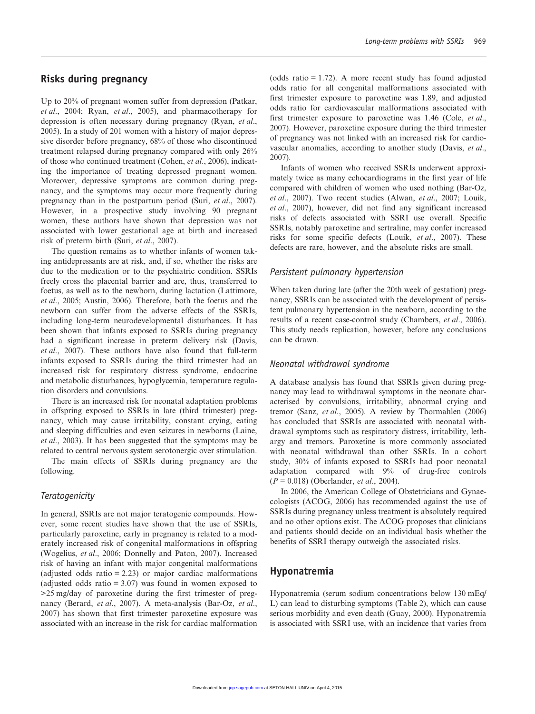#### Risks during pregnancy

Up to 20% of pregnant women suffer from depression (Patkar, et al., 2004; Ryan, et al., 2005), and pharmacotherapy for depression is often necessary during pregnancy (Ryan, et al., 2005). In a study of 201 women with a history of major depressive disorder before pregnancy, 68% of those who discontinued treatment relapsed during pregnancy compared with only 26% of those who continued treatment (Cohen, et al., 2006), indicating the importance of treating depressed pregnant women. Moreover, depressive symptoms are common during pregnancy, and the symptoms may occur more frequently during pregnancy than in the postpartum period (Suri, et al., 2007). However, in a prospective study involving 90 pregnant women, these authors have shown that depression was not associated with lower gestational age at birth and increased risk of preterm birth (Suri, et al., 2007).

The question remains as to whether infants of women taking antidepressants are at risk, and, if so, whether the risks are due to the medication or to the psychiatric condition. SSRIs freely cross the placental barrier and are, thus, transferred to foetus, as well as to the newborn, during lactation (Lattimore, et al., 2005; Austin, 2006). Therefore, both the foetus and the newborn can suffer from the adverse effects of the SSRIs, including long-term neurodevelopmental disturbances. It has been shown that infants exposed to SSRIs during pregnancy had a significant increase in preterm delivery risk (Davis, et al., 2007). These authors have also found that full-term infants exposed to SSRIs during the third trimester had an increased risk for respiratory distress syndrome, endocrine and metabolic disturbances, hypoglycemia, temperature regulation disorders and convulsions.

There is an increased risk for neonatal adaptation problems in offspring exposed to SSRIs in late (third trimester) pregnancy, which may cause irritability, constant crying, eating and sleeping difficulties and even seizures in newborns (Laine, et al., 2003). It has been suggested that the symptoms may be related to central nervous system serotonergic over stimulation.

The main effects of SSRIs during pregnancy are the following.

#### **Teratogenicity**

In general, SSRIs are not major teratogenic compounds. However, some recent studies have shown that the use of SSRIs, particularly paroxetine, early in pregnancy is related to a moderately increased risk of congenital malformations in offspring (Wogelius, et al., 2006; Donnelly and Paton, 2007). Increased risk of having an infant with major congenital malformations (adjusted odds ratio  $= 2.23$ ) or major cardiac malformations (adjusted odds ratio  $= 3.07$ ) was found in women exposed to >25 mg/day of paroxetine during the first trimester of pregnancy (Berard, et al., 2007). A meta-analysis (Bar-Oz, et al., 2007) has shown that first trimester paroxetine exposure was associated with an increase in the risk for cardiac malformation (odds ratio = 1.72). A more recent study has found adjusted odds ratio for all congenital malformations associated with first trimester exposure to paroxetine was 1.89, and adjusted odds ratio for cardiovascular malformations associated with first trimester exposure to paroxetine was 1.46 (Cole, et al., 2007). However, paroxetine exposure during the third trimester of pregnancy was not linked with an increased risk for cardiovascular anomalies, according to another study (Davis, et al., 2007).

Infants of women who received SSRIs underwent approximately twice as many echocardiograms in the first year of life compared with children of women who used nothing (Bar-Oz, et al., 2007). Two recent studies (Alwan, et al., 2007; Louik, et al., 2007), however, did not find any significant increased risks of defects associated with SSRI use overall. Specific SSRIs, notably paroxetine and sertraline, may confer increased risks for some specific defects (Louik, et al., 2007). These defects are rare, however, and the absolute risks are small.

#### Persistent pulmonary hypertension

When taken during late (after the 20th week of gestation) pregnancy, SSRIs can be associated with the development of persistent pulmonary hypertension in the newborn, according to the results of a recent case-control study (Chambers, et al., 2006). This study needs replication, however, before any conclusions can be drawn.

#### Neonatal withdrawal syndrome

A database analysis has found that SSRIs given during pregnancy may lead to withdrawal symptoms in the neonate characterised by convulsions, irritability, abnormal crying and tremor (Sanz, et al., 2005). A review by Thormahlen (2006) has concluded that SSRIs are associated with neonatal withdrawal symptoms such as respiratory distress, irritability, lethargy and tremors. Paroxetine is more commonly associated with neonatal withdrawal than other SSRIs. In a cohort study, 30% of infants exposed to SSRIs had poor neonatal adaptation compared with 9% of drug-free controls  $(P = 0.018)$  (Oberlander, *et al.*, 2004).

In 2006, the American College of Obstetricians and Gynaecologists (ACOG, 2006) has recommended against the use of SSRIs during pregnancy unless treatment is absolutely required and no other options exist. The ACOG proposes that clinicians and patients should decide on an individual basis whether the benefits of SSRI therapy outweigh the associated risks.

#### Hyponatremia

Hyponatremia (serum sodium concentrations below 130 mEq/ L) can lead to disturbing symptoms (Table 2), which can cause serious morbidity and even death (Guay, 2000). Hyponatremia is associated with SSRI use, with an incidence that varies from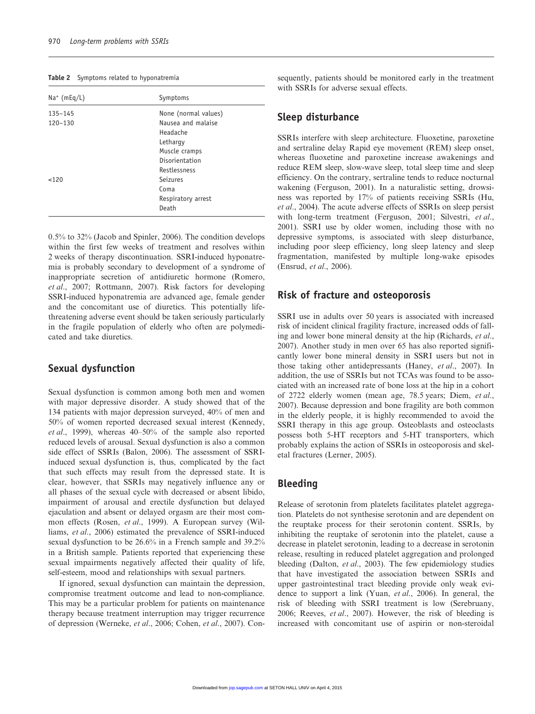|  | Table 2 |  |  |  | Symptoms related to hyponatremia |
|--|---------|--|--|--|----------------------------------|
|--|---------|--|--|--|----------------------------------|

| $Na^+$ (mEq/L) | Symptoms             |
|----------------|----------------------|
| $135 - 145$    | None (normal values) |
| 120-130        | Nausea and malaise   |
|                | Headache             |
|                | Lethargy             |
|                | Muscle cramps        |
|                | Disorientation       |
|                | Restlessness         |
| < 120          | Seizures             |
|                | Coma                 |
|                | Respiratory arrest   |
|                | Death                |

0.5% to 32% (Jacob and Spinler, 2006). The condition develops within the first few weeks of treatment and resolves within 2 weeks of therapy discontinuation. SSRI-induced hyponatremia is probably secondary to development of a syndrome of inappropriate secretion of antidiuretic hormone (Romero, et al., 2007; Rottmann, 2007). Risk factors for developing SSRI-induced hyponatremia are advanced age, female gender and the concomitant use of diuretics. This potentially lifethreatening adverse event should be taken seriously particularly in the fragile population of elderly who often are polymedicated and take diuretics.

## Sexual dysfunction

Sexual dysfunction is common among both men and women with major depressive disorder. A study showed that of the 134 patients with major depression surveyed, 40% of men and 50% of women reported decreased sexual interest (Kennedy, et al., 1999), whereas 40–50% of the sample also reported reduced levels of arousal. Sexual dysfunction is also a common side effect of SSRIs (Balon, 2006). The assessment of SSRIinduced sexual dysfunction is, thus, complicated by the fact that such effects may result from the depressed state. It is clear, however, that SSRIs may negatively influence any or all phases of the sexual cycle with decreased or absent libido, impairment of arousal and erectile dysfunction but delayed ejaculation and absent or delayed orgasm are their most common effects (Rosen, et al., 1999). A European survey (Williams, et al., 2006) estimated the prevalence of SSRI-induced sexual dysfunction to be 26.6% in a French sample and 39.2% in a British sample. Patients reported that experiencing these sexual impairments negatively affected their quality of life, self-esteem, mood and relationships with sexual partners.

If ignored, sexual dysfunction can maintain the depression, compromise treatment outcome and lead to non-compliance. This may be a particular problem for patients on maintenance therapy because treatment interruption may trigger recurrence of depression (Werneke, et al., 2006; Cohen, et al., 2007). Consequently, patients should be monitored early in the treatment with SSRIs for adverse sexual effects.

#### Sleep disturbance

SSRIs interfere with sleep architecture. Fluoxetine, paroxetine and sertraline delay Rapid eye movement (REM) sleep onset, whereas fluoxetine and paroxetine increase awakenings and reduce REM sleep, slow-wave sleep, total sleep time and sleep efficiency. On the contrary, sertraline tends to reduce nocturnal wakening (Ferguson, 2001). In a naturalistic setting, drowsiness was reported by 17% of patients receiving SSRIs (Hu, et al., 2004). The acute adverse effects of SSRIs on sleep persist with long-term treatment (Ferguson, 2001; Silvestri, et al., 2001). SSRI use by older women, including those with no depressive symptoms, is associated with sleep disturbance, including poor sleep efficiency, long sleep latency and sleep fragmentation, manifested by multiple long-wake episodes (Ensrud, et al., 2006).

#### Risk of fracture and osteoporosis

SSRI use in adults over 50 years is associated with increased risk of incident clinical fragility fracture, increased odds of falling and lower bone mineral density at the hip (Richards, et al., 2007). Another study in men over 65 has also reported significantly lower bone mineral density in SSRI users but not in those taking other antidepressants (Haney, et al., 2007). In addition, the use of SSRIs but not TCAs was found to be associated with an increased rate of bone loss at the hip in a cohort of 2722 elderly women (mean age, 78.5 years; Diem, et al., 2007). Because depression and bone fragility are both common in the elderly people, it is highly recommended to avoid the SSRI therapy in this age group. Osteoblasts and osteoclasts possess both 5-HT receptors and 5-HT transporters, which probably explains the action of SSRIs in osteoporosis and skeletal fractures (Lerner, 2005).

## Bleeding

Release of serotonin from platelets facilitates platelet aggregation. Platelets do not synthesise serotonin and are dependent on the reuptake process for their serotonin content. SSRIs, by inhibiting the reuptake of serotonin into the platelet, cause a decrease in platelet serotonin, leading to a decrease in serotonin release, resulting in reduced platelet aggregation and prolonged bleeding (Dalton, et al., 2003). The few epidemiology studies that have investigated the association between SSRIs and upper gastrointestinal tract bleeding provide only weak evidence to support a link (Yuan, et al., 2006). In general, the risk of bleeding with SSRI treatment is low (Serebruany, 2006; Reeves, et al., 2007). However, the risk of bleeding is increased with concomitant use of aspirin or non-steroidal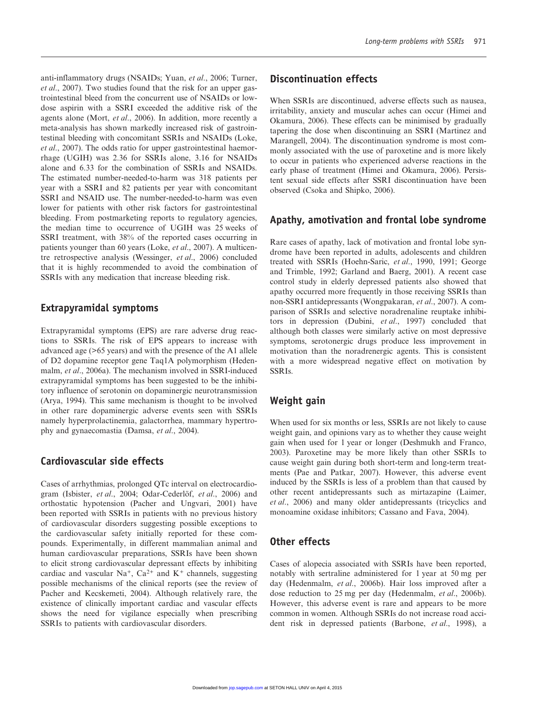anti-inflammatory drugs (NSAIDs; Yuan, et al., 2006; Turner, et al., 2007). Two studies found that the risk for an upper gastrointestinal bleed from the concurrent use of NSAIDs or lowdose aspirin with a SSRI exceeded the additive risk of the agents alone (Mort, et al., 2006). In addition, more recently a meta-analysis has shown markedly increased risk of gastrointestinal bleeding with concomitant SSRIs and NSAIDs (Loke, et al., 2007). The odds ratio for upper gastrointestinal haemorrhage (UGIH) was 2.36 for SSRIs alone, 3.16 for NSAIDs alone and 6.33 for the combination of SSRIs and NSAIDs. The estimated number-needed-to-harm was 318 patients per year with a SSRI and 82 patients per year with concomitant SSRI and NSAID use. The number-needed-to-harm was even lower for patients with other risk factors for gastrointestinal bleeding. From postmarketing reports to regulatory agencies, the median time to occurrence of UGIH was 25 weeks of SSRI treatment, with 38% of the reported cases occurring in patients younger than 60 years (Loke, et al., 2007). A multicentre retrospective analysis (Wessinger, et al., 2006) concluded that it is highly recommended to avoid the combination of SSRIs with any medication that increase bleeding risk.

### Extrapyramidal symptoms

Extrapyramidal symptoms (EPS) are rare adverse drug reactions to SSRIs. The risk of EPS appears to increase with advanced age (>65 years) and with the presence of the A1 allele of D2 dopamine receptor gene Taq1A polymorphism (Hedenmalm, et al., 2006a). The mechanism involved in SSRI-induced extrapyramidal symptoms has been suggested to be the inhibitory influence of serotonin on dopaminergic neurotransmission (Arya, 1994). This same mechanism is thought to be involved in other rare dopaminergic adverse events seen with SSRIs namely hyperprolactinemia, galactorrhea, mammary hypertrophy and gynaecomastia (Damsa, et al., 2004).

# Cardiovascular side effects

Cases of arrhythmias, prolonged QTc interval on electrocardiogram (Isbister, et al., 2004; Odar-Cederlöf, et al., 2006) and orthostatic hypotension (Pacher and Ungvari, 2001) have been reported with SSRIs in patients with no previous history of cardiovascular disorders suggesting possible exceptions to the cardiovascular safety initially reported for these compounds. Experimentally, in different mammalian animal and human cardiovascular preparations, SSRIs have been shown to elicit strong cardiovascular depressant effects by inhibiting cardiac and vascular  $Na^+$ ,  $Ca^{2+}$  and  $K^+$  channels, suggesting possible mechanisms of the clinical reports (see the review of Pacher and Kecskemeti, 2004). Although relatively rare, the existence of clinically important cardiac and vascular effects shows the need for vigilance especially when prescribing SSRIs to patients with cardiovascular disorders.

## Discontinuation effects

When SSRIs are discontinued, adverse effects such as nausea. irritability, anxiety and muscular aches can occur (Himei and Okamura, 2006). These effects can be minimised by gradually tapering the dose when discontinuing an SSRI (Martinez and Marangell, 2004). The discontinuation syndrome is most commonly associated with the use of paroxetine and is more likely to occur in patients who experienced adverse reactions in the early phase of treatment (Himei and Okamura, 2006). Persistent sexual side effects after SSRI discontinuation have been observed (Csoka and Shipko, 2006).

#### Apathy, amotivation and frontal lobe syndrome

Rare cases of apathy, lack of motivation and frontal lobe syndrome have been reported in adults, adolescents and children treated with SSRIs (Hoehn-Saric, et al., 1990, 1991; George and Trimble, 1992; Garland and Baerg, 2001). A recent case control study in elderly depressed patients also showed that apathy occurred more frequently in those receiving SSRIs than non-SSRI antidepressants (Wongpakaran, et al., 2007). A comparison of SSRIs and selective noradrenaline reuptake inhibitors in depression (Dubini, et al., 1997) concluded that although both classes were similarly active on most depressive symptoms, serotonergic drugs produce less improvement in motivation than the noradrenergic agents. This is consistent with a more widespread negative effect on motivation by SSRIs.

## Weight gain

When used for six months or less, SSRIs are not likely to cause weight gain, and opinions vary as to whether they cause weight gain when used for 1 year or longer (Deshmukh and Franco, 2003). Paroxetine may be more likely than other SSRIs to cause weight gain during both short-term and long-term treatments (Pae and Patkar, 2007). However, this adverse event induced by the SSRIs is less of a problem than that caused by other recent antidepressants such as mirtazapine (Laimer, et al., 2006) and many older antidepressants (tricyclics and monoamine oxidase inhibitors; Cassano and Fava, 2004).

# Other effects

Cases of alopecia associated with SSRIs have been reported, notably with sertraline administered for 1 year at 50 mg per day (Hedenmalm, et al., 2006b). Hair loss improved after a dose reduction to 25 mg per day (Hedenmalm, et al., 2006b). However, this adverse event is rare and appears to be more common in women. Although SSRIs do not increase road accident risk in depressed patients (Barbone, et al., 1998), a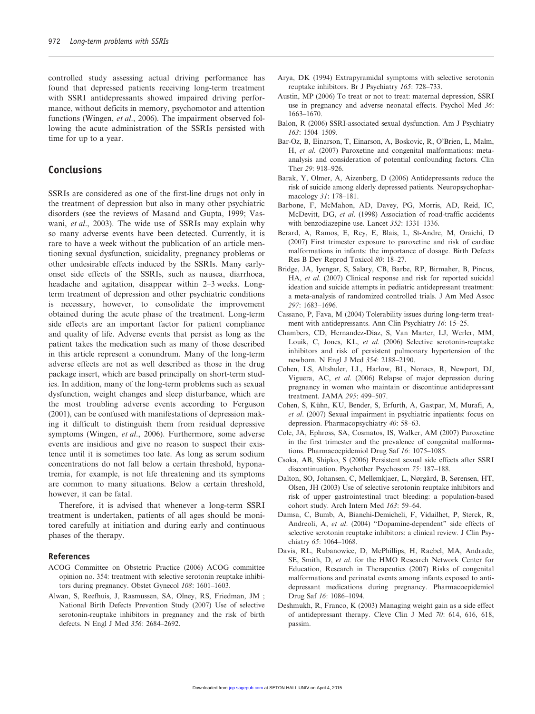controlled study assessing actual driving performance has found that depressed patients receiving long-term treatment with SSRI antidepressants showed impaired driving performance, without deficits in memory, psychomotor and attention functions (Wingen, et al., 2006). The impairment observed following the acute administration of the SSRIs persisted with time for up to a year.

#### Conclusions

SSRIs are considered as one of the first-line drugs not only in the treatment of depression but also in many other psychiatric disorders (see the reviews of Masand and Gupta, 1999; Vaswani, et al., 2003). The wide use of SSRIs may explain why so many adverse events have been detected. Currently, it is rare to have a week without the publication of an article mentioning sexual dysfunction, suicidality, pregnancy problems or other undesirable effects induced by the SSRIs. Many earlyonset side effects of the SSRIs, such as nausea, diarrhoea, headache and agitation, disappear within 2–3 weeks. Longterm treatment of depression and other psychiatric conditions is necessary, however, to consolidate the improvement obtained during the acute phase of the treatment. Long-term side effects are an important factor for patient compliance and quality of life. Adverse events that persist as long as the patient takes the medication such as many of those described in this article represent a conundrum. Many of the long-term adverse effects are not as well described as those in the drug package insert, which are based principally on short-term studies. In addition, many of the long-term problems such as sexual dysfunction, weight changes and sleep disturbance, which are the most troubling adverse events according to Ferguson (2001), can be confused with manifestations of depression making it difficult to distinguish them from residual depressive symptoms (Wingen, et al., 2006). Furthermore, some adverse events are insidious and give no reason to suspect their existence until it is sometimes too late. As long as serum sodium concentrations do not fall below a certain threshold, hyponatremia, for example, is not life threatening and its symptoms are common to many situations. Below a certain threshold, however, it can be fatal.

Therefore, it is advised that whenever a long-term SSRI treatment is undertaken, patients of all ages should be monitored carefully at initiation and during early and continuous phases of the therapy.

#### References

- ACOG Committee on Obstetric Practice (2006) ACOG committee opinion no. 354: treatment with selective serotonin reuptake inhibitors during pregnancy. Obstet Gynecol 108: 1601–1603.
- Alwan, S, Reefhuis, J, Rasmussen, SA, Olney, RS, Friedman, JM ; National Birth Defects Prevention Study (2007) Use of selective serotonin-reuptake inhibitors in pregnancy and the risk of birth defects. N Engl J Med 356: 2684–2692.
- Arya, DK (1994) Extrapyramidal symptoms with selective serotonin reuptake inhibitors. Br J Psychiatry 165: 728–733.
- Austin, MP (2006) To treat or not to treat: maternal depression, SSRI use in pregnancy and adverse neonatal effects. Psychol Med 36: 1663–1670.
- Balon, R (2006) SSRI-associated sexual dysfunction. Am J Psychiatry 163: 1504–1509.
- Bar-Oz, B, Einarson, T, Einarson, A, Boskovic, R, O'Brien, L, Malm, H, et al. (2007) Paroxetine and congenital malformations: metaanalysis and consideration of potential confounding factors. Clin Ther 29: 918–926.
- Barak, Y, Olmer, A, Aizenberg, D (2006) Antidepressants reduce the risk of suicide among elderly depressed patients. Neuropsychopharmacology 31: 178–181.
- Barbone, F, McMahon, AD, Davey, PG, Morris, AD, Reid, IC, McDevitt, DG, et al. (1998) Association of road-traffic accidents with benzodiazepine use. Lancet 352: 1331–1336.
- Berard, A, Ramos, E, Rey, E, Blais, L, St-Andre, M, Oraichi, D (2007) First trimester exposure to paroxetine and risk of cardiac malformations in infants: the importance of dosage. Birth Defects Res B Dev Reprod Toxicol 80: 18–27.
- Bridge, JA, Iyengar, S, Salary, CB, Barbe, RP, Birmaher, B, Pincus, HA, et al. (2007) Clinical response and risk for reported suicidal ideation and suicide attempts in pediatric antidepressant treatment: a meta-analysis of randomized controlled trials. J Am Med Assoc 297: 1683–1696.
- Cassano, P, Fava, M (2004) Tolerability issues during long-term treatment with antidepressants. Ann Clin Psychiatry 16: 15–25.
- Chambers, CD, Hernandez-Diaz, S, Van Marter, LJ, Werler, MM, Louik, C, Jones, KL, et al. (2006) Selective serotonin-reuptake inhibitors and risk of persistent pulmonary hypertension of the newborn. N Engl J Med 354: 2188–2190.
- Cohen, LS, Altshuler, LL, Harlow, BL, Nonacs, R, Newport, DJ, Viguera, AC, et al. (2006) Relapse of major depression during pregnancy in women who maintain or discontinue antidepressant treatment. JAMA 295: 499–507.
- Cohen, S, Kühn, KU, Bender, S, Erfurth, A, Gastpar, M, Murafi, A, et al. (2007) Sexual impairment in psychiatric inpatients: focus on depression. Pharmacopsychiatry 40: 58–63.
- Cole, JA, Ephross, SA, Cosmatos, IS, Walker, AM (2007) Paroxetine in the first trimester and the prevalence of congenital malformations. Pharmacoepidemiol Drug Saf 16: 1075–1085.
- Csoka, AB, Shipko, S (2006) Persistent sexual side effects after SSRI discontinuation. Psychother Psychosom 75: 187–188.
- Dalton, SO, Johansen, C, Mellemkjaer, L, Nørgård, B, Sørensen, HT, Olsen, JH (2003) Use of selective serotonin reuptake inhibitors and risk of upper gastrointestinal tract bleeding: a population-based cohort study. Arch Intern Med 163: 59–64.
- Damsa, C, Bumb, A, Bianchi-Demicheli, F, Vidailhet, P, Sterck, R, Andreoli, A, et al. (2004) "Dopamine-dependent" side effects of selective serotonin reuptake inhibitors: a clinical review. J Clin Psychiatry 65: 1064–1068.
- Davis, RL, Rubanowice, D, McPhillips, H, Raebel, MA, Andrade, SE, Smith, D, et al. for the HMO Research Network Center for Education, Research in Therapeutics (2007) Risks of congenital malformations and perinatal events among infants exposed to antidepressant medications during pregnancy. Pharmacoepidemiol Drug Saf 16: 1086–1094.
- Deshmukh, R, Franco, K (2003) Managing weight gain as a side effect of antidepressant therapy. Cleve Clin J Med 70: 614, 616, 618, passim.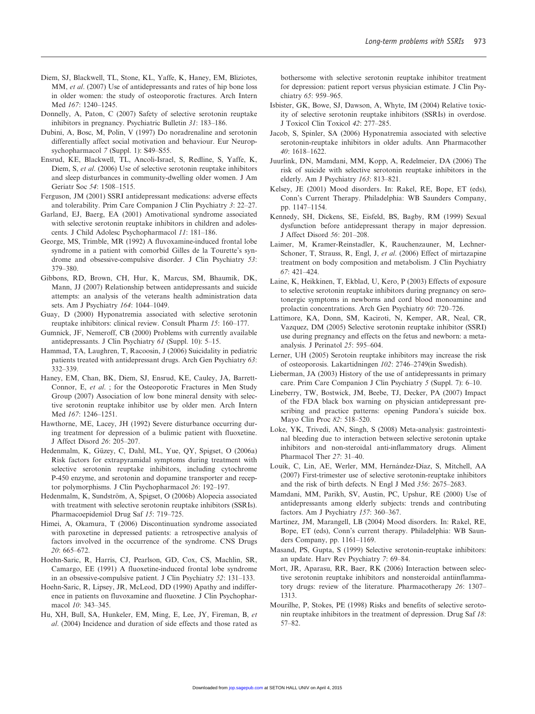- Diem, SJ, Blackwell, TL, Stone, KL, Yaffe, K, Haney, EM, Bliziotes, MM, et al. (2007) Use of antidepressants and rates of hip bone loss in older women: the study of osteoporotic fractures. Arch Intern Med 167: 1240–1245.
- Donnelly, A, Paton, C (2007) Safety of selective serotonin reuptake inhibitors in pregnancy. Psychiatric Bulletin 31: 183–186.
- Dubini, A, Bosc, M, Polin, V (1997) Do noradrenaline and serotonin differentially affect social motivation and behaviour. Eur Neuropsychopharmacol 7 (Suppl. 1): S49–S55.
- Ensrud, KE, Blackwell, TL, Ancoli-Israel, S, Redline, S, Yaffe, K, Diem, S, et al. (2006) Use of selective serotonin reuptake inhibitors and sleep disturbances in community-dwelling older women. J Am Geriatr Soc 54: 1508–1515.
- Ferguson, JM (2001) SSRI antidepressant medications: adverse effects and tolerability. Prim Care Companion J Clin Psychiatry 3: 22–27.
- Garland, EJ, Baerg, EA (2001) Amotivational syndrome associated with selective serotonin reuptake inhibitors in children and adolescents. J Child Adolesc Psychopharmacol 11: 181–186.
- George, MS, Trimble, MR (1992) A fluvoxamine-induced frontal lobe syndrome in a patient with comorbid Gilles de la Tourette's syndrome and obsessive-compulsive disorder. J Clin Psychiatry 53: 379–380.
- Gibbons, RD, Brown, CH, Hur, K, Marcus, SM, Bhaumik, DK, Mann, JJ (2007) Relationship between antidepressants and suicide attempts: an analysis of the veterans health administration data sets. Am J Psychiatry 164: 1044–1049.
- Guay, D (2000) Hyponatremia associated with selective serotonin reuptake inhibitors: clinical review. Consult Pharm 15: 160–177.
- Gumnick, JF, Nemeroff, CB (2000) Problems with currently available antidepressants. J Clin Psychiatry 61 (Suppl. 10): 5–15.
- Hammad, TA, Laughren, T, Racoosin, J (2006) Suicidality in pediatric patients treated with antidepressant drugs. Arch Gen Psychiatry 63: 332–339.
- Haney, EM, Chan, BK, Diem, SJ, Ensrud, KE, Cauley, JA, Barrett-Connor, E, et al. ; for the Osteoporotic Fractures in Men Study Group (2007) Association of low bone mineral density with selective serotonin reuptake inhibitor use by older men. Arch Intern Med 167: 1246–1251.
- Hawthorne, ME, Lacey, JH (1992) Severe disturbance occurring during treatment for depression of a bulimic patient with fluoxetine. J Affect Disord 26: 205–207.
- Hedenmalm, K, Güzey, C, Dahl, ML, Yue, QY, Spigset, O (2006a) Risk factors for extrapyramidal symptoms during treatment with selective serotonin reuptake inhibitors, including cytochrome P-450 enzyme, and serotonin and dopamine transporter and receptor polymorphisms. J Clin Psychopharmacol 26: 192–197.
- Hedenmalm, K, Sundström, A, Spigset, O (2006b) Alopecia associated with treatment with selective serotonin reuptake inhibitors (SSRIs). Pharmacoepidemiol Drug Saf 15: 719–725.
- Himei, A, Okamura, T (2006) Discontinuation syndrome associated with paroxetine in depressed patients: a retrospective analysis of factors involved in the occurrence of the syndrome. CNS Drugs 20: 665–672.
- Hoehn-Saric, R, Harris, CJ, Pearlson, GD, Cox, CS, Machlin, SR, Camargo, EE (1991) A fluoxetine-induced frontal lobe syndrome in an obsessive-compulsive patient. J Clin Psychiatry 52: 131–133.
- Hoehn-Saric, R, Lipsey, JR, McLeod, DD (1990) Apathy and indifference in patients on fluvoxamine and fluoxetine. J Clin Psychopharmacol 10: 343–345.
- Hu, XH, Bull, SA, Hunkeler, EM, Ming, E, Lee, JY, Fireman, B, et al. (2004) Incidence and duration of side effects and those rated as

bothersome with selective serotonin reuptake inhibitor treatment for depression: patient report versus physician estimate. J Clin Psychiatry 65: 959–965.

- Isbister, GK, Bowe, SJ, Dawson, A, Whyte, IM (2004) Relative toxicity of selective serotonin reuptake inhibitors (SSRIs) in overdose. J Toxicol Clin Toxicol 42: 277–285.
- Jacob, S, Spinler, SA (2006) Hyponatremia associated with selective serotonin-reuptake inhibitors in older adults. Ann Pharmacother 40: 1618–1622.
- Juurlink, DN, Mamdani, MM, Kopp, A, Redelmeier, DA (2006) The risk of suicide with selective serotonin reuptake inhibitors in the elderly. Am J Psychiatry 163: 813–821.
- Kelsey, JE (2001) Mood disorders. In: Rakel, RE, Bope, ET (eds), Conn's Current Therapy. Philadelphia: WB Saunders Company, pp. 1147–1154.
- Kennedy, SH, Dickens, SE, Eisfeld, BS, Bagby, RM (1999) Sexual dysfunction before antidepressant therapy in major depression. J Affect Disord 56: 201–208.
- Laimer, M, Kramer-Reinstadler, K, Rauchenzauner, M, Lechner-Schoner, T, Strauss, R, Engl, J, et al. (2006) Effect of mirtazapine treatment on body composition and metabolism. J Clin Psychiatry  $67:421-424$
- Laine, K, Heikkinen, T, Ekblad, U, Kero, P (2003) Effects of exposure to selective serotonin reuptake inhibitors during pregnancy on serotonergic symptoms in newborns and cord blood monoamine and prolactin concentrations. Arch Gen Psychiatry 60: 720–726.
- Lattimore, KA, Donn, SM, Kaciroti, N, Kemper, AR, Neal, CR, Vazquez, DM (2005) Selective serotonin reuptake inhibitor (SSRI) use during pregnancy and effects on the fetus and newborn: a metaanalysis. J Perinatol 25: 595–604.
- Lerner, UH (2005) Serotoin reuptake inhibitors may increase the risk of osteoporosis. Lakartidningen 102: 2746–2749(in Swedish).
- Lieberman, JA (2003) History of the use of antidepressants in primary care. Prim Care Companion J Clin Psychiatry 5 (Suppl. 7): 6–10.
- Lineberry, TW, Bostwick, JM, Beebe, TJ, Decker, PA (2007) Impact of the FDA black box warning on physician antidepressant prescribing and practice patterns: opening Pandora's suicide box. Mayo Clin Proc 82: 518–520.
- Loke, YK, Trivedi, AN, Singh, S (2008) Meta-analysis: gastrointestinal bleeding due to interaction between selective serotonin uptake inhibitors and non-steroidal anti-inflammatory drugs. Aliment Pharmacol Ther 27: 31–40.
- Louik, C, Lin, AE, Werler, MM, Hernández-Díaz, S, Mitchell, AA (2007) First-trimester use of selective serotonin-reuptake inhibitors and the risk of birth defects. N Engl J Med 356: 2675–2683.
- Mamdani, MM, Parikh, SV, Austin, PC, Upshur, RE (2000) Use of antidepressants among elderly subjects: trends and contributing factors. Am J Psychiatry 157: 360–367.
- Martinez, JM, Marangell, LB (2004) Mood disorders. In: Rakel, RE, Bope, ET (eds), Conn's current therapy. Philadelphia: WB Saunders Company, pp. 1161–1169.
- Masand, PS, Gupta, S (1999) Selective serotonin-reuptake inhibitors: an update. Harv Rev Psychiatry 7: 69–84.
- Mort, JR, Aparasu, RR, Baer, RK (2006) Interaction between selective serotonin reuptake inhibitors and nonsteroidal antiinflammatory drugs: review of the literature. Pharmacotherapy 26: 1307– 1313.
- Mourilhe, P, Stokes, PE (1998) Risks and benefits of selective serotonin reuptake inhibitors in the treatment of depression. Drug Saf 18: 57–82.